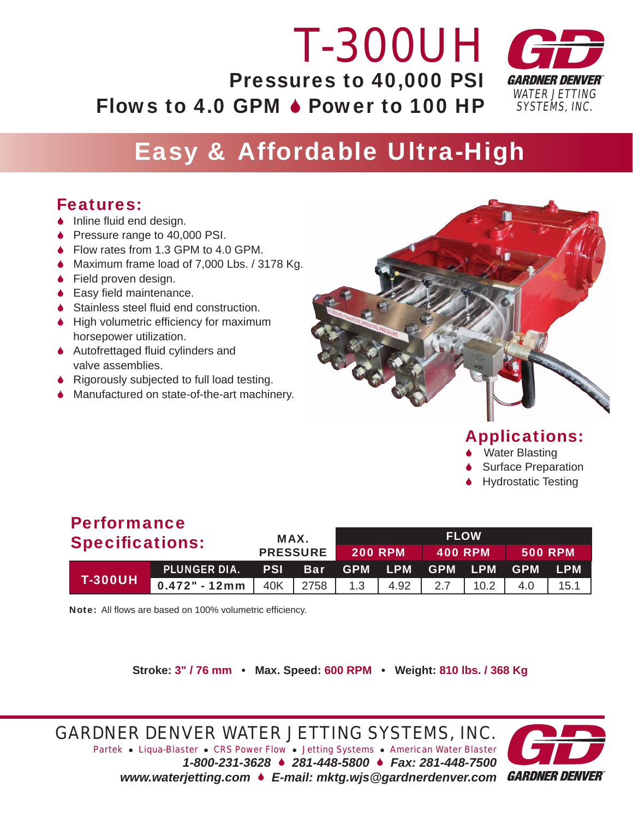### *WATER JETTING SYSTEMS, INC. T-300UH* Pressures to 40,000 PSI Flows to 4.0 GPM  $\triangle$  Power to 100 HP

# Easy & Affordable Ultra-High

# Features:

- $\bullet$  Inline fluid end design.
- ◆ Pressure range to 40,000 PSI.
- ◆ Flow rates from 1.3 GPM to 4.0 GPM.
- ◆ Maximum frame load of 7,000 Lbs. / 3178 Kg.
- ◆ Field proven design.
- $\bullet$  Easy field maintenance.
- $\triangle$  Stainless steel fluid end construction.
- $\blacklozenge$  High volumetric efficiency for maximum horsepower utilization.
- $\triangle$  Autofrettaged fluid cylinders and valve assemblies.
- 6 Rigorously subjected to full load testing.
- ◆ Manufactured on state-of-the-art machinery.



# Applications:

- Water Blasting
- **Surface Preparation**
- 6 Hydrostatic Testing

# Performance

| <b>Specifications:</b> |                                                                          | MAX.<br><b>PRESSURE</b> |  | <b>FLOW</b>    |  |                             |  |                |  |
|------------------------|--------------------------------------------------------------------------|-------------------------|--|----------------|--|-----------------------------|--|----------------|--|
|                        |                                                                          |                         |  | <b>200 RPM</b> |  | $\sqrt{400}$ RPM $\sqrt{ }$ |  | <b>500 RPM</b> |  |
| <b>T-300UH</b>         | PLUNGER DIA. PSI Bar GPM LPM GPM LPM GPM LPM                             |                         |  |                |  |                             |  |                |  |
|                        | <b>0.472" - 12mm</b>   40K   2758   1.3   4.92   2.7   10.2   4.0   15.1 |                         |  |                |  |                             |  |                |  |

Note: All flows are based on 100% volumetric efficiency.

**Stroke: 3" / 76 mm • Max. Speed: 600 RPM • Weight: 810 lbs. / 368 Kg**

*GARDNER DENVER WATER JETTING SYSTEMS, INC.*

*Partek* z *Liqua-Blaster* z *CRS Power Flow* z *Jetting Systems* z *American Water Blaster 1-800-231-3628* 6 *281-448-5800* 6 *Fax: 281-448-7500 www.waterjetting.com* 6 *E-mail: mktg.wjs@gardnerdenver.com*